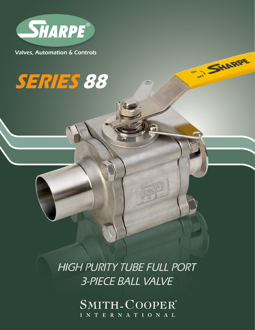

Valves, Automation & Controls

# **SERIES 88**

HIGH PURITY TUBE FULL PORT 3-PIECE BALL VALVE

ONLY SHARPE

SMITH-COOPER® INTERNATIONAL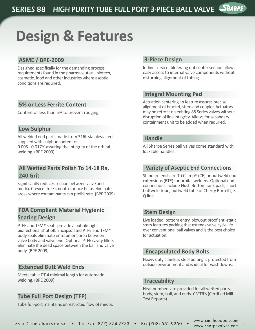# **Design & Features**

### **ASME / BPE-2009**

Designed specifically for the demanding process requirements found in the pharmaceutical, biotech, cosmetic, food and other industries where aseptic conditions are required.

### **5% or Less Ferrite Content**

Content of less than 5% to prevent rouging.

### **Low Sulphur**

All welded end parts made from 316L stainless steel supplied with sulphur content of 0.005 - 0.017% assuring the integrity of the orbital welding. (BPE 2009)

### **All Wetted Parts Polish To 14-18 Ra, 240 Grit**

Significantly reduces friction between valve and media. Crevice- free smooth surface helps eliminate areas where contaminants can proliferate. (BPE 2009)

### **FDA Compliant Material Hygienic Seating Design**

PTFE and TFM® seats provide a bubble-tight bidirectional shut off. Encapsulated PTFE and TFM® body seals eliminate entrapment area between valve body and valve end. Optional PTFE cavity fillers eliminate the dead space between the ball and valve body. (BPE 2009)

### **Extended Butt Weld Ends**

Meets table DT-4 minimal length for automatic welding. (BPE 2009)

### **Tube Full Port Design (TFP)**

Tube full-port maintains unrestricted flow of media.

### **3-Piece Design**

In-line serviceable swing out center section allows easy access to internal valve components without disturbing alignment of tubing.

### **Integral Mounting Pad**

Actuation centering lip feature assures precise alignment of bracket, stem and coupler. Actuators may be retrofit on existing 88 Series valves without disruption of line integrity. Allows for secondary containment unit to be added when required.

### **Handle**

All Sharpe Series ball valves come standard with lockable handles.

### **Variety of Aseptic End Connections**

Standard ends are Tri Clamp® (CE) or buttweld end extensions (BTE) for orbital welders. Optional end connections include Flush Bottom tank pads, short buttweld tube, buttweld tube of Cherry Burrell I, S, Q line.

#### **Stem Design**

Live loaded, bottom entry, blowout proof anti-static stem features packing that extends valve cycle life over conventional ball valves and is the best choice for actuation.

### **Encapsulated Body Bolts**

Heavy duty stainless steel bolting is protected from outside environment and is ideal for washdowns.

### **Traceability**

Heat numbers are provided for all wetted parts, body, stem, ball, and ends. CMTR's (Certified Mill Test Reports).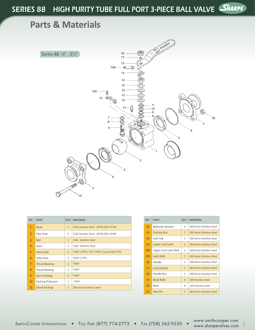### **Parts & Materials**



| NO.            | <b>PART</b>           | QTY.           | <b>MATERIAL</b>                                           |  |  |  |  |
|----------------|-----------------------|----------------|-----------------------------------------------------------|--|--|--|--|
| $\mathbf{1}$   | <b>Body</b>           | $\mathbf{1}$   | 316L Stainless Steel ASTM A351 CF3M                       |  |  |  |  |
| $\overline{2}$ | Pipe Ends             | 2              | 316L Stainless Steel ASTM A351 CF3M                       |  |  |  |  |
| $\overline{3}$ | <b>Ball</b>           | $\mathbf{1}$   | 316L Stainless Steel                                      |  |  |  |  |
| $\overline{a}$ | Stem                  | $\mathbf{1}$   | 316L Stainless Steel                                      |  |  |  |  |
| 5              | <b>Valve Seat</b>     | $\overline{2}$ | TFM <sup>®</sup> / PTFE / TFE / RTFE / Cavity Filler PTFE |  |  |  |  |
| 6              | Valve Seal            | $\overline{2}$ | TFM <sup>®</sup> / PTFE                                   |  |  |  |  |
| $\overline{7}$ | <b>Thrust Bearing</b> | $\mathbf{1}$   | TFM <sup>®</sup>                                          |  |  |  |  |
| 8              | <b>Thrust Bearing</b> | $\mathbf{1}$   | TFM <sup>®</sup>                                          |  |  |  |  |
| $\overline{9}$ | <b>Stem Packing</b>   | $\overline{2}$ | TFM <sup>®</sup>                                          |  |  |  |  |
| 10             | Packing Protector     | $\mathbf{1}$   | TFM <sup>®</sup>                                          |  |  |  |  |
| 11             | <b>Gland Packing</b>  | $\mathbf{1}$   | 300 Series Stainless Steel                                |  |  |  |  |

| NO.        | <b>PART</b>              | QTY.         | <b>MATERIAL</b>            |
|------------|--------------------------|--------------|----------------------------|
| 12         | <b>Belleville Washer</b> | 4            | 300 Series Stainless Steel |
| 13         | <b>Packing Nut</b>       | $\mathbf{1}$ | 300 Series Stainless Steel |
| 14         | Lock Tab                 | 1            | 300 Series Stainless Steel |
| 15         | Lower Lock Latch         | $\mathbf{1}$ | 300 Series Stainless Steel |
| <b>15B</b> | Upper Lock Latch Bolt    | 1            | 300 Series Stainless Steel |
| <b>15C</b> | Latch Bolt               | $\mathbf{1}$ | 300 Series Stainless Steel |
| 16         | Handle                   | $\mathbf{1}$ | 300 Series Stainless Steel |
| 17         | Lock Washer              | $\mathbf{1}$ | 300 Series Stainless Steel |
| 18         | Handle Nut               | 1            | 300 Series Stainless Steel |
| 19         | <b>Body Bolts</b>        | $\Delta$     | 304 Stainless Steel        |
| 20         | <b>Nuts</b>              | 4            | 316 Stainless Steel        |
| 21         | <b>Stop Pin</b>          | $\mathbf{1}$ | 300 Series Stainless Steel |

Smith-Cooper International • Toll Free (877) 774-2773 • Fax (708) 562-9250 • www.smithcooper.com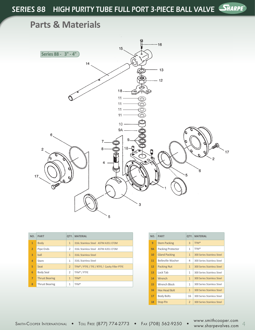### **Parts & Materials**



| NO.            | <b>PART</b>           | QTY.           | <b>MATERIAL</b>                               |
|----------------|-----------------------|----------------|-----------------------------------------------|
| $\mathbf{1}$   | Body                  | $\mathbf{1}$   | 316L Stainless Steel ASTM A351 CF3M           |
| $\overline{2}$ | Pipe Ends             | $\mathcal{P}$  | 316L Stainless Steel ASTM A351 CF3M           |
| $\overline{3}$ | ball                  | $\mathbf{1}$   | 316L Stainless Steel                          |
| $\Delta$       | Stem                  | 1              | 316L Stainless Steel                          |
| 5              | Seat                  | $\overline{2}$ | TFM® / PTFE / TFE / RTFE / Cavity Filler PTFE |
| 6              | <b>Body Seal</b>      | $\overline{2}$ | TFM® / PTFE                                   |
| $\overline{7}$ | <b>Thrust Bearing</b> | $\mathbf{1}$   | TFM <sup>®</sup>                              |
| 8              | <b>Thrust Bearing</b> | $\mathbf{1}$   | TFM®                                          |

| NO.       | <b>PART</b>          |                | <b>OTY. MATERIAL</b>       |
|-----------|----------------------|----------------|----------------------------|
| 9         | <b>Stem Packing</b>  | 3              | TFM <sup>®</sup>           |
| <b>9A</b> | Packing Protector    | $\mathbf{1}$   | TFM <sup>®</sup>           |
| 10        | <b>Gland Packing</b> | $\mathbf{1}$   | 300 Series Stainless Steel |
| 11        | Belleville Washer    | 4              | 300 Series Stainless Steel |
| 12        | <b>Packing Nut</b>   | $\mathbf{1}$   | 300 Series Stainless Steel |
| 13        | Lock Tab             | $\mathbf{1}$   | 300 Series Stainless Steel |
| 14        | Wrench               | $\mathbf{1}$   | 300 Series Stainless Steel |
| 15        | Wrench Block         | $\mathbf{1}$   | 300 Series Stainless Steel |
| 16        | <b>Hex Head Bolt</b> | $\mathbf{1}$   | 300 Series Stainless Steel |
| 17        | <b>Body Bolts</b>    | 16             | 300 Series Stainless Steel |
| 18        | <b>Stop Pin</b>      | $\overline{2}$ | 300 Series Stainless Steel |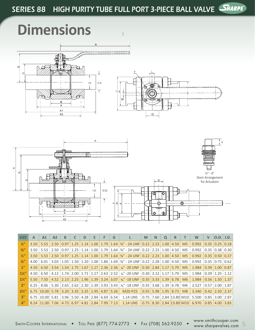# **Dimensions**





| <b>SIZE</b>                 | $\mathbf{A}$ | A1            | A2   | <sub>B</sub> | D | E | G |                                                                                                                                                                     | M | <b>N</b> | $\Omega$ | $\mathbb{R}$ | T. | W                                                                                                     | $\mathsf{V}$               | $O.D.$ I.D.                |      |
|-----------------------------|--------------|---------------|------|--------------|---|---|---|---------------------------------------------------------------------------------------------------------------------------------------------------------------------|---|----------|----------|--------------|----|-------------------------------------------------------------------------------------------------------|----------------------------|----------------------------|------|
| $\frac{1}{4}$               | 3.50         | 5.53          | 2.50 |              |   |   |   | $\vert 0.97 \vert 1.25 \vert 1.14 \vert 1.00 \vert 1.79 \vert 1.64 \vert \%$ " - 24 UNF $\vert 0.22 \vert 2.23 \vert 1.00 \vert 4.50 \vert M5$                      |   |          |          |              |    | 0.992                                                                                                 | 0.35                       | 0.25                       | 0.18 |
| $\frac{3}{8}$ <sup>11</sup> | 3.50         | 5.53          |      |              |   |   |   | 2.50 $\mid$ 0.97 $\mid$ 1.25 $\mid$ 1.14 $\mid$ 1.00 $\mid$ 1.79 $\mid$ 1.64 $\mid$ 3/ <sub>8</sub> $\mid$ - 24 UNF $\mid$ 0.22 $\mid$ 2.23 $\mid$ 1.00 $\mid$ 4.50 |   |          |          |              | M5 | 0.992                                                                                                 |                            | $0.35 \mid 0.38 \mid 0.30$ |      |
| $\frac{1}{2}$               |              | $3.50$   5.53 |      |              |   |   |   | 2.50 $\mid$ 0.97 $\mid$ 1.25 $\mid$ 1.14 $\mid$ 1.00 $\mid$ 1.79 $\mid$ 1.64 $\mid$ 3/ <sub>8</sub> $\mid$ - 24 UNF $\mid$ 0.22 $\mid$ 2.23 $\mid$ 1.00 $\mid$ 4.50 |   |          |          |              | M5 | 0.992                                                                                                 | $0.35$ $0.50$ $0.37$       |                            |      |
| $\frac{3}{4}$ <sup>11</sup> | 4.00         | 6.01          |      |              |   |   |   | $3.03$   1.05   1.50   1.20   1.00   1.86   1.69   <sup>3</sup> / <sub>8</sub> <sup>"</sup> - 24 UNF   0.22   2.28   1.00   4.50                                    |   |          |          |              | M5 | 0.992                                                                                                 | $0.35$ $0.75$ $0.62$       |                            |      |
| 1 <sup>0</sup>              | $4.50 \perp$ | 6.50          |      |              |   |   |   | $3.54$   1.54   1.75   1.67   1.17   2.36   2.36   %" -20 UNF   0.30   2.84   1.17   5.79   M5                                                                      |   |          |          |              |    | $1.984 \mid 0.39 \mid 1.00 \mid 0.87$                                                                 |                            |                            |      |
| $1\frac{1}{4}$              | $4.50 \perp$ | 6.50          |      |              |   |   |   | 4.12 1.74 2.00 1.71 1.17 2.63 2.52 1% -20 UNF 0.30 3.12 1.17 5.79 M5                                                                                                |   |          |          |              |    | $1.984 \mid 0.39 \mid 1.25 \mid 1.12$                                                                 |                            |                            |      |
| $1\frac{1}{2}$              |              | $5.50$   7.50 |      |              |   |   |   | 4.52 2.13 2.25 1.96 1.39 3.24 3.07 % -18 UNF 0.35 3.33 1.39 6.78 M6                                                                                                 |   |          |          |              |    | 1.984                                                                                                 | $0.56 \mid 1.50 \mid 1.37$ |                            |      |
| 2 <sup>''</sup>             | 6.25         | 8.06          |      |              |   |   |   | 5.30 2.65 2.62 2.30 1.39 3.93 3.43 % -18 UNF 0.35 3.68 1.39 6.78                                                                                                    |   |          |          |              | M6 | 2.527                                                                                                 | $0.57$   2.00   1.87       |                            |      |
| $2\frac{1}{2}$              |              |               |      |              |   |   |   | 6.75 $ 10.00 $ 5.78 $ 3.20 $ 3.35 $ 3.25 $ 1.95 $ 4.87 $ 5.26 M20-P25                                                                                               |   |          |          |              |    | $\vert 0.55 \vert 5.98 \vert 1.95 \vert 8.73 \vert$ M8 $\vert 3.340 \vert$                            | 0.42 2.50 2.37             |                            |      |
| 3"                          |              |               |      |              |   |   |   | 6.75 $ 10.00 $ 5.81 $ 3.96 $ 5.50 $ 4.28 $ 2.84 $ 6.69 $ 6.54 $ 1.14 $ UNS                                                                                          |   |          |          |              |    | $\mid$ 0.75   7.60   2.84   13.80   M10   5.500   0.85   3.00   2.87                                  |                            |                            |      |
| 4"                          |              |               |      |              |   |   |   | 8.24 11.00 7.06 4.73 6.97 4.81 2.84 7.99 7.13 1.14 UNS                                                                                                              |   |          |          |              |    | $\vert 0.75 \vert 8.30 \vert 2.84 \vert 13.80 \vert M10 \vert 6.970 \vert 0.85 \vert 4.00 \vert 3.83$ |                            |                            |      |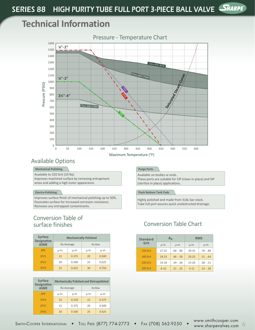### **Technical Information**



### Available Options

#### **Mechanical Polishing**

Available to 320 Grit (10 Ra). Improves machined surface by removing entrapment areas and adding a high luster appearance.

#### **Electro-Polishing**

Improves surface finish of mechanical polishing up to 50%. Passivates surface for increased corrosion resistance. Removes any entrapped contaminants.

## Conversion Table of

| <b>Surface</b><br>Designation | <b>Mechanically Polished</b> |            |        |       |  |  |  |  |  |
|-------------------------------|------------------------------|------------|--------|-------|--|--|--|--|--|
| <b>ASME</b>                   |                              | Ra Average | Ra Max |       |  |  |  |  |  |
| <b>BPE</b>                    | μ-in.                        | μ-m        | μ-in.  | µ-m   |  |  |  |  |  |
| SFV <sub>1</sub>              | 15                           | 0.375      | 20     | 0.500 |  |  |  |  |  |
| SFV <sub>2</sub>              | 20                           | 0.500      | 25     | 0.625 |  |  |  |  |  |
| SFV <sub>3</sub>              | 25                           | 0.625      | 30     | 0.750 |  |  |  |  |  |

| <b>Surface</b><br>Designation | <b>Mechanically Polished and Eletropolished</b> |       |        |       |  |  |  |  |  |
|-------------------------------|-------------------------------------------------|-------|--------|-------|--|--|--|--|--|
| <b>ASME</b>                   | Ra Average                                      |       | Ra Max |       |  |  |  |  |  |
| <b>RPF</b>                    | μ-in.                                           | μ-m   | μ-in.  | μ-m   |  |  |  |  |  |
| SFV4                          | 10                                              | 0.250 | 15     | 0.375 |  |  |  |  |  |
| SFV <sub>5</sub>              | 15                                              | 0.375 | 20     | 0.500 |  |  |  |  |  |
| SFV <sub>6</sub>              | 20                                              | 0.500 | 25     | 0.625 |  |  |  |  |  |

#### **Purge Ports**

Available on bodies or ends. These ports are suitable for CIP (clean in place) and SIP (sterilize in place) applications.

#### **Flush Bottom Tank Pads**

Highly polished and made from 316L bar stock. Tube full port assures quick unobstructed drainage.

### Conversion Table Chart

| <b>Standard</b> |           | Ra          | <b>RMS</b> |             |  |  |  |
|-----------------|-----------|-------------|------------|-------------|--|--|--|
| Grit            | µ-in.     | $\mu$ -m    | µ-in.      | $\mu$ -m    |  |  |  |
| <b>150 Grit</b> | $27 - 32$ | $.68 - .80$ | $30 - 35$  | $.76 - .89$ |  |  |  |
| 180 Grit        | $18 - 23$ | $.46 - .58$ | $20 - 25$  | $.51 - .64$ |  |  |  |
| <b>240 Grit</b> | 14-18     | $.34 - .36$ | $15 - 20$  | $.38 - .51$ |  |  |  |
| 320 Grit        | $8 - 10$  | $.21 - .25$ | $9 - 11$   | $.23 - .28$ |  |  |  |